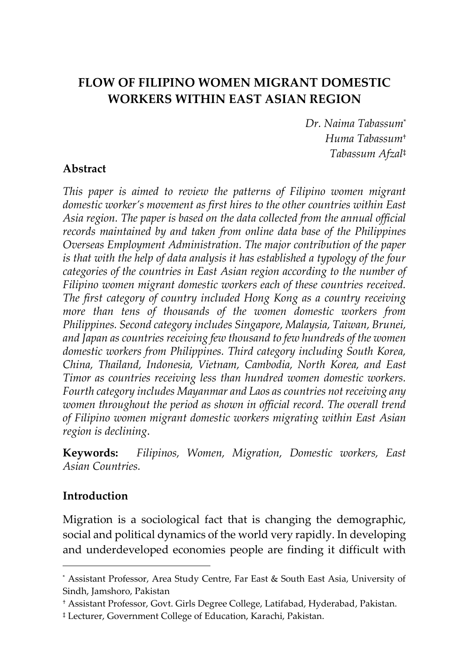# **FLOW OF FILIPINO WOMEN MIGRANT DOMESTIC WORKERS WITHIN EAST ASIAN REGION**

*Dr. Naima Tabassum*\* *Huma Tabassum*† *Tabassum Afzal*‡

#### **Abstract**

*This paper is aimed to review the patterns of Filipino women migrant domestic worker's movement as first hires to the other countries within East Asia region. The paper is based on the data collected from the annual official records maintained by and taken from online data base of the Philippines Overseas Employment Administration. The major contribution of the paper is that with the help of data analysis it has established a typology of the four categories of the countries in East Asian region according to the number of Filipino women migrant domestic workers each of these countries received. The first category of country included Hong Kong as a country receiving more than tens of thousands of the women domestic workers from Philippines. Second category includes Singapore, Malaysia, Taiwan, Brunei, and Japan as countries receiving few thousand to few hundreds of the women domestic workers from Philippines. Third category including South Korea, China, Thailand, Indonesia, Vietnam, Cambodia, North Korea, and East Timor as countries receiving less than hundred women domestic workers. Fourth category includes Mayanmar and Laos as countries not receiving any*  women throughout the period as shown in official record. The overall trend *of Filipino women migrant domestic workers migrating within East Asian region is declining*.

**Keywords:** *Filipinos, Women, Migration, Domestic workers, East Asian Countries.*

#### **Introduction**

 $\overline{a}$ 

Migration is a sociological fact that is changing the demographic, social and political dynamics of the world very rapidly. In developing and underdeveloped economies people are finding it difficult with

<sup>\*</sup> Assistant Professor, Area Study Centre, Far East & South East Asia, University of Sindh, Jamshoro, Pakistan

<sup>†</sup> Assistant Professor, Govt. Girls Degree College, Latifabad, Hyderabad, Pakistan.

<sup>‡</sup> Lecturer, Government College of Education, Karachi, Pakistan.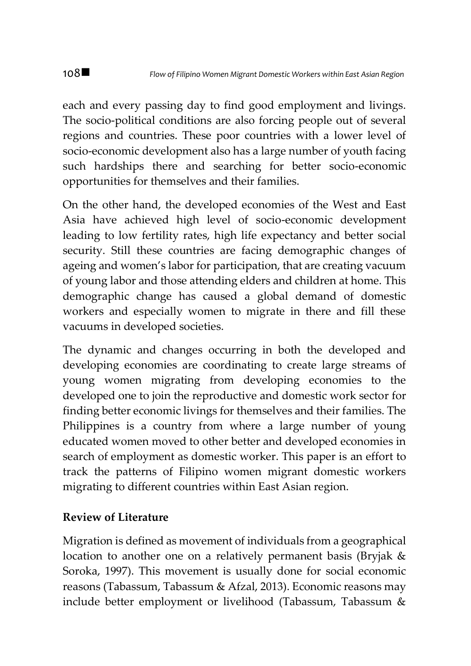each and every passing day to find good employment and livings. The socio-political conditions are also forcing people out of several regions and countries. These poor countries with a lower level of socio-economic development also has a large number of youth facing such hardships there and searching for better socio-economic opportunities for themselves and their families.

On the other hand, the developed economies of the West and East Asia have achieved high level of socio-economic development leading to low fertility rates, high life expectancy and better social security. Still these countries are facing demographic changes of ageing and women's labor for participation, that are creating vacuum of young labor and those attending elders and children at home. This demographic change has caused a global demand of domestic workers and especially women to migrate in there and fill these vacuums in developed societies.

The dynamic and changes occurring in both the developed and developing economies are coordinating to create large streams of young women migrating from developing economies to the developed one to join the reproductive and domestic work sector for finding better economic livings for themselves and their families. The Philippines is a country from where a large number of young educated women moved to other better and developed economies in search of employment as domestic worker. This paper is an effort to track the patterns of Filipino women migrant domestic workers migrating to different countries within East Asian region.

## **Review of Literature**

Migration is defined as movement of individuals from a geographical location to another one on a relatively permanent basis (Bryjak & Soroka, 1997). This movement is usually done for social economic reasons (Tabassum, Tabassum & Afzal, 2013). Economic reasons may include better employment or livelihood (Tabassum, Tabassum &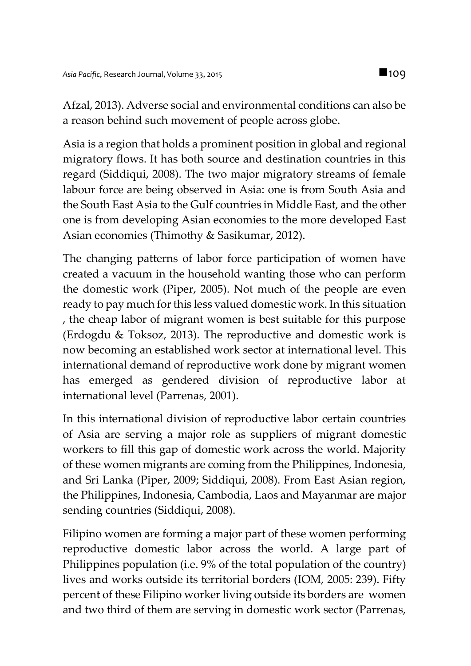Afzal, 2013). Adverse social and environmental conditions can also be a reason behind such movement of people across globe.

Asia is a region that holds a prominent position in global and regional migratory flows. It has both source and destination countries in this regard (Siddiqui, 2008). The two major migratory streams of female labour force are being observed in Asia: one is from South Asia and the South East Asia to the Gulf countries in Middle East, and the other one is from developing Asian economies to the more developed East Asian economies (Thimothy & Sasikumar, 2012).

The changing patterns of labor force participation of women have created a vacuum in the household wanting those who can perform the domestic work (Piper, 2005). Not much of the people are even ready to pay much for this less valued domestic work. In this situation , the cheap labor of migrant women is best suitable for this purpose (Erdogdu & Toksoz, 2013). The reproductive and domestic work is now becoming an established work sector at international level. This international demand of reproductive work done by migrant women has emerged as gendered division of reproductive labor at international level (Parrenas, 2001).

In this international division of reproductive labor certain countries of Asia are serving a major role as suppliers of migrant domestic workers to fill this gap of domestic work across the world. Majority of these women migrants are coming from the Philippines, Indonesia, and Sri Lanka (Piper, 2009; Siddiqui, 2008). From East Asian region, the Philippines, Indonesia, Cambodia, Laos and Mayanmar are major sending countries (Siddiqui, 2008).

Filipino women are forming a major part of these women performing reproductive domestic labor across the world. A large part of Philippines population (i.e. 9% of the total population of the country) lives and works outside its territorial borders (IOM, 2005: 239). Fifty percent of these Filipino worker living outside its borders are women and two third of them are serving in domestic work sector (Parrenas,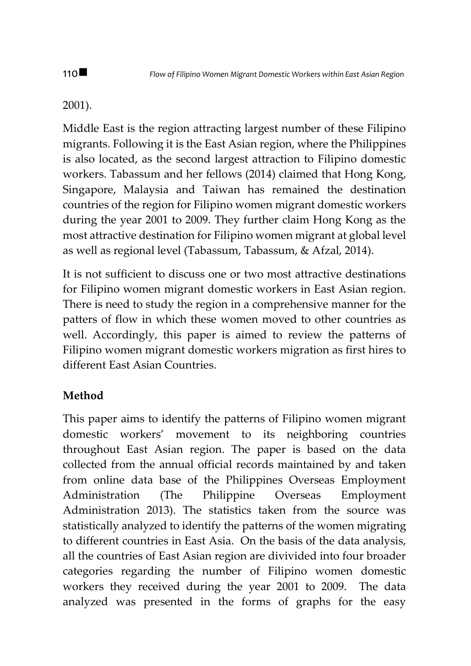## 2001).

Middle East is the region attracting largest number of these Filipino migrants. Following it is the East Asian region, where the Philippines is also located, as the second largest attraction to Filipino domestic workers. Tabassum and her fellows (2014) claimed that Hong Kong, Singapore, Malaysia and Taiwan has remained the destination countries of the region for Filipino women migrant domestic workers during the year 2001 to 2009. They further claim Hong Kong as the most attractive destination for Filipino women migrant at global level as well as regional level (Tabassum, Tabassum, & Afzal, 2014).

It is not sufficient to discuss one or two most attractive destinations for Filipino women migrant domestic workers in East Asian region. There is need to study the region in a comprehensive manner for the patters of flow in which these women moved to other countries as well. Accordingly, this paper is aimed to review the patterns of Filipino women migrant domestic workers migration as first hires to different East Asian Countries.

# **Method**

This paper aims to identify the patterns of Filipino women migrant domestic workers' movement to its neighboring countries throughout East Asian region. The paper is based on the data collected from the annual official records maintained by and taken from online data base of the Philippines Overseas Employment Administration (The Philippine Overseas Employment Administration 2013). The statistics taken from the source was statistically analyzed to identify the patterns of the women migrating to different countries in East Asia. On the basis of the data analysis, all the countries of East Asian region are divivided into four broader categories regarding the number of Filipino women domestic workers they received during the year 2001 to 2009. The data analyzed was presented in the forms of graphs for the easy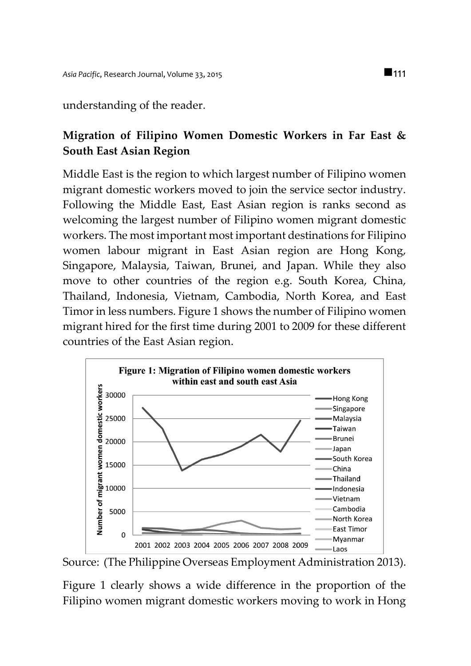#### understanding of the reader.

# **Migration of Filipino Women Domestic Workers in Far East & South East Asian Region**

Middle East is the region to which largest number of Filipino women migrant domestic workers moved to join the service sector industry. Following the Middle East, East Asian region is ranks second as welcoming the largest number of Filipino women migrant domestic workers. The most important most important destinations for Filipino women labour migrant in East Asian region are Hong Kong, Singapore, Malaysia, Taiwan, Brunei, and Japan. While they also move to other countries of the region e.g. South Korea, China, Thailand, Indonesia, Vietnam, Cambodia, North Korea, and East Timor in less numbers. Figure 1 shows the number of Filipino women migrant hired for the first time during 2001 to 2009 for these different countries of the East Asian region.



Source: (The Philippine Overseas Employment Administration 2013).

Figure 1 clearly shows a wide difference in the proportion of the Filipino women migrant domestic workers moving to work in Hong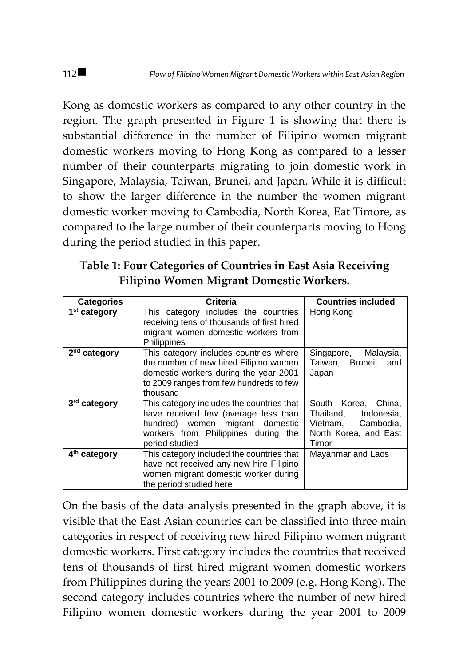Kong as domestic workers as compared to any other country in the region. The graph presented in Figure 1 is showing that there is substantial difference in the number of Filipino women migrant domestic workers moving to Hong Kong as compared to a lesser number of their counterparts migrating to join domestic work in Singapore, Malaysia, Taiwan, Brunei, and Japan. While it is difficult to show the larger difference in the number the women migrant domestic worker moving to Cambodia, North Korea, Eat Timore, as compared to the large number of their counterparts moving to Hong during the period studied in this paper.

**Table 1: Four Categories of Countries in East Asia Receiving Filipino Women Migrant Domestic Workers.**

| <b>Categories</b>        | Criteria                                                                                                                                                                         | <b>Countries included</b>                                                                              |
|--------------------------|----------------------------------------------------------------------------------------------------------------------------------------------------------------------------------|--------------------------------------------------------------------------------------------------------|
| 1 <sup>st</sup> category | This category includes the countries<br>receiving tens of thousands of first hired<br>migrant women domestic workers from<br>Philippines                                         | Hong Kong                                                                                              |
| 2 <sup>nd</sup> category | This category includes countries where<br>the number of new hired Filipino women<br>domestic workers during the year 2001<br>to 2009 ranges from few hundreds to few<br>thousand | Singapore, Malaysia,<br>Taiwan, Brunei, and<br>Japan                                                   |
| 3rd category             | This category includes the countries that<br>have received few (average less than<br>hundred) women migrant domestic<br>workers from Philippines during the<br>period studied    | South Korea, China,<br>Thailand,<br>Indonesia.<br>Vietnam. Cambodia.<br>North Korea, and East<br>Timor |
| 4 <sup>th</sup> category | This category included the countries that<br>have not received any new hire Filipino<br>women migrant domestic worker during<br>the period studied here                          | Mayanmar and Laos                                                                                      |

On the basis of the data analysis presented in the graph above, it is visible that the East Asian countries can be classified into three main categories in respect of receiving new hired Filipino women migrant domestic workers. First category includes the countries that received tens of thousands of first hired migrant women domestic workers from Philippines during the years 2001 to 2009 (e.g. Hong Kong). The second category includes countries where the number of new hired Filipino women domestic workers during the year 2001 to 2009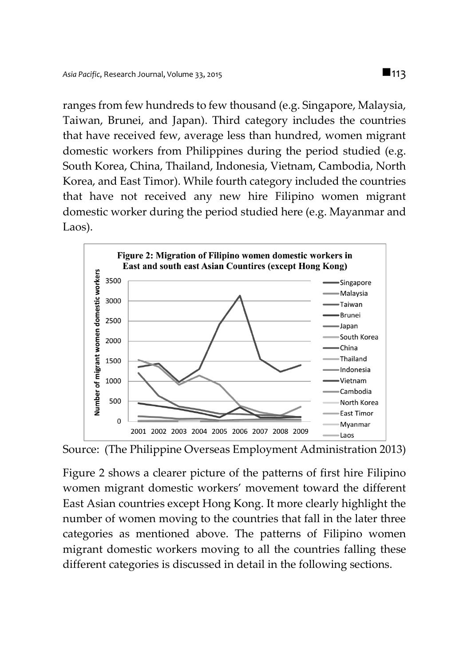ranges from few hundreds to few thousand (e.g. Singapore, Malaysia, Taiwan, Brunei, and Japan). Third category includes the countries that have received few, average less than hundred, women migrant domestic workers from Philippines during the period studied (e.g. South Korea, China, Thailand, Indonesia, Vietnam, Cambodia, North Korea, and East Timor). While fourth category included the countries that have not received any new hire Filipino women migrant domestic worker during the period studied here (e.g. Mayanmar and Laos).



Source: (The Philippine Overseas Employment Administration 2013)

Figure 2 shows a clearer picture of the patterns of first hire Filipino women migrant domestic workers' movement toward the different East Asian countries except Hong Kong. It more clearly highlight the number of women moving to the countries that fall in the later three categories as mentioned above. The patterns of Filipino women migrant domestic workers moving to all the countries falling these different categories is discussed in detail in the following sections.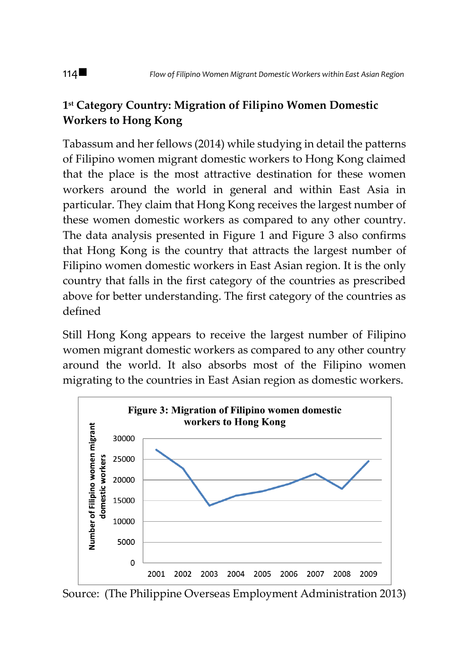# **1 st Category Country: Migration of Filipino Women Domestic Workers to Hong Kong**

Tabassum and her fellows (2014) while studying in detail the patterns of Filipino women migrant domestic workers to Hong Kong claimed that the place is the most attractive destination for these women workers around the world in general and within East Asia in particular. They claim that Hong Kong receives the largest number of these women domestic workers as compared to any other country. The data analysis presented in Figure 1 and Figure 3 also confirms that Hong Kong is the country that attracts the largest number of Filipino women domestic workers in East Asian region. It is the only country that falls in the first category of the countries as prescribed above for better understanding. The first category of the countries as defined

Still Hong Kong appears to receive the largest number of Filipino women migrant domestic workers as compared to any other country around the world. It also absorbs most of the Filipino women migrating to the countries in East Asian region as domestic workers.



Source: (The Philippine Overseas Employment Administration 2013)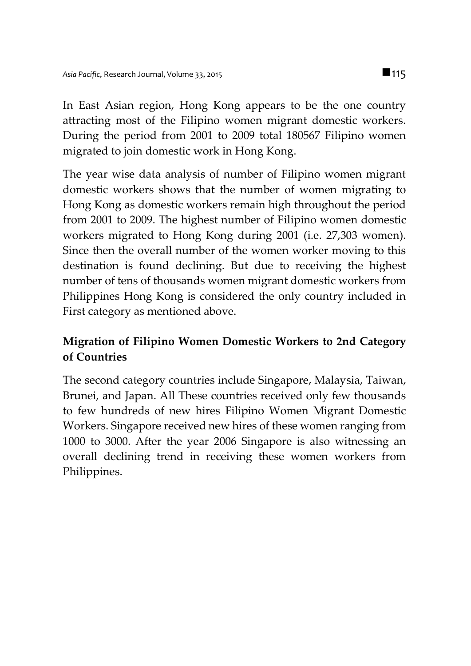In East Asian region, Hong Kong appears to be the one country attracting most of the Filipino women migrant domestic workers. During the period from 2001 to 2009 total 180567 Filipino women migrated to join domestic work in Hong Kong.

The year wise data analysis of number of Filipino women migrant domestic workers shows that the number of women migrating to Hong Kong as domestic workers remain high throughout the period from 2001 to 2009. The highest number of Filipino women domestic workers migrated to Hong Kong during 2001 (i.e. 27,303 women). Since then the overall number of the women worker moving to this destination is found declining. But due to receiving the highest number of tens of thousands women migrant domestic workers from Philippines Hong Kong is considered the only country included in First category as mentioned above.

## **Migration of Filipino Women Domestic Workers to 2nd Category of Countries**

The second category countries include Singapore, Malaysia, Taiwan, Brunei, and Japan. All These countries received only few thousands to few hundreds of new hires Filipino Women Migrant Domestic Workers. Singapore received new hires of these women ranging from 1000 to 3000. After the year 2006 Singapore is also witnessing an overall declining trend in receiving these women workers from Philippines.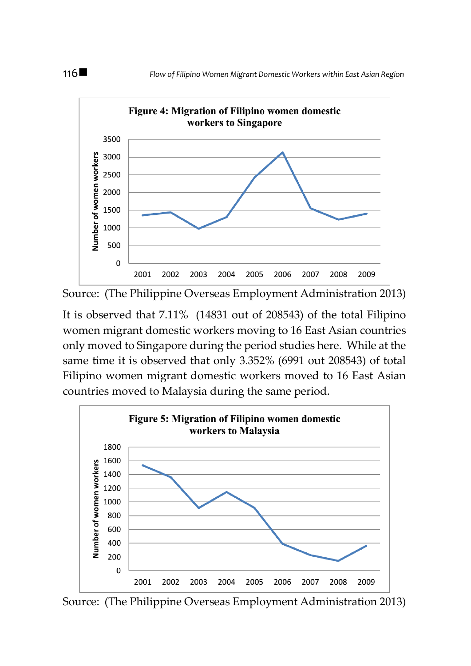

Source: (The Philippine Overseas Employment Administration 2013)

It is observed that 7.11% (14831 out of 208543) of the total Filipino women migrant domestic workers moving to 16 East Asian countries only moved to Singapore during the period studies here. While at the same time it is observed that only 3.352% (6991 out 208543) of total Filipino women migrant domestic workers moved to 16 East Asian countries moved to Malaysia during the same period.



Source: (The Philippine Overseas Employment Administration 2013)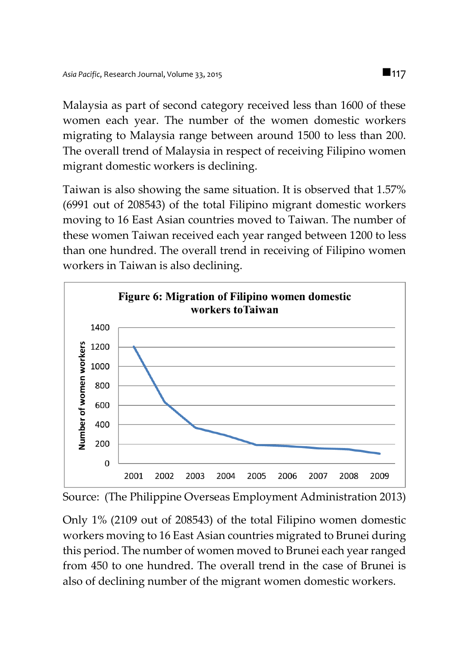Malaysia as part of second category received less than 1600 of these women each year. The number of the women domestic workers migrating to Malaysia range between around 1500 to less than 200. The overall trend of Malaysia in respect of receiving Filipino women migrant domestic workers is declining.

Taiwan is also showing the same situation. It is observed that 1.57% (6991 out of 208543) of the total Filipino migrant domestic workers moving to 16 East Asian countries moved to Taiwan. The number of these women Taiwan received each year ranged between 1200 to less than one hundred. The overall trend in receiving of Filipino women workers in Taiwan is also declining.





Only 1% (2109 out of 208543) of the total Filipino women domestic workers moving to 16 East Asian countries migrated to Brunei during this period. The number of women moved to Brunei each year ranged from 450 to one hundred. The overall trend in the case of Brunei is also of declining number of the migrant women domestic workers.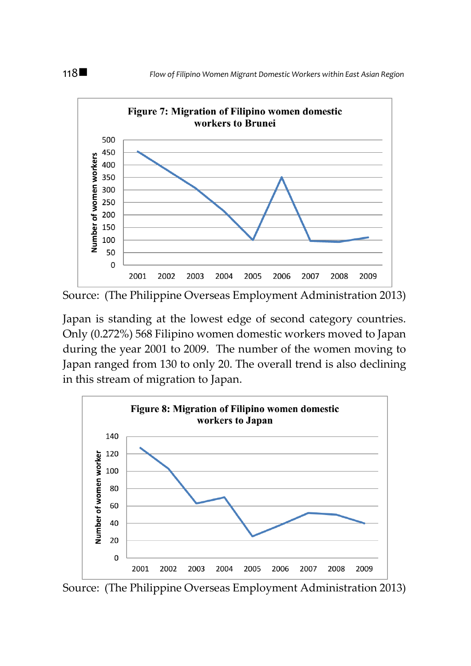

Source: (The Philippine Overseas Employment Administration 2013)

Japan is standing at the lowest edge of second category countries. Only (0.272%) 568 Filipino women domestic workers moved to Japan during the year 2001 to 2009. The number of the women moving to Japan ranged from 130 to only 20. The overall trend is also declining in this stream of migration to Japan.



Source: (The Philippine Overseas Employment Administration 2013)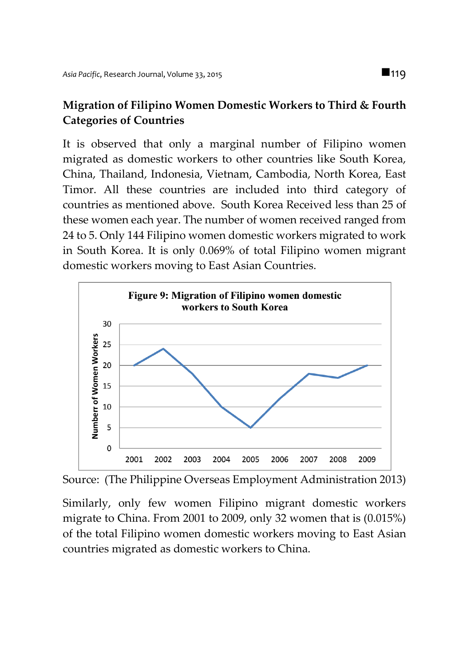## **Migration of Filipino Women Domestic Workers to Third & Fourth Categories of Countries**

It is observed that only a marginal number of Filipino women migrated as domestic workers to other countries like South Korea, China, Thailand, Indonesia, Vietnam, Cambodia, North Korea, East Timor. All these countries are included into third category of countries as mentioned above. South Korea Received less than 25 of these women each year. The number of women received ranged from 24 to 5. Only 144 Filipino women domestic workers migrated to work in South Korea. It is only 0.069% of total Filipino women migrant domestic workers moving to East Asian Countries.



Source: (The Philippine Overseas Employment Administration 2013)

Similarly, only few women Filipino migrant domestic workers migrate to China. From 2001 to 2009, only 32 women that is (0.015%) of the total Filipino women domestic workers moving to East Asian countries migrated as domestic workers to China.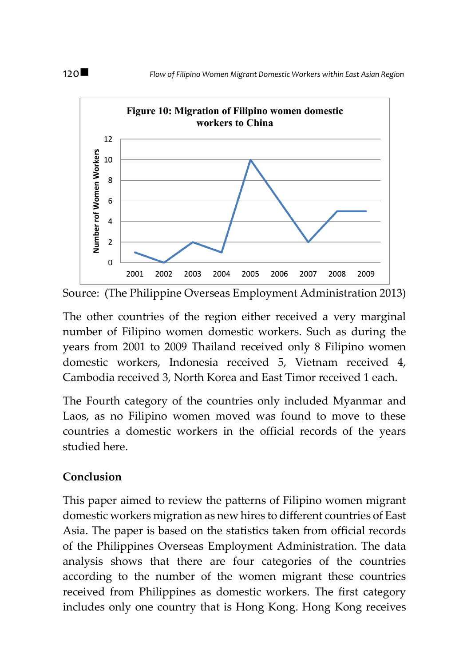

Source: (The Philippine Overseas Employment Administration 2013)

The other countries of the region either received a very marginal number of Filipino women domestic workers. Such as during the years from 2001 to 2009 Thailand received only 8 Filipino women domestic workers, Indonesia received 5, Vietnam received 4, Cambodia received 3, North Korea and East Timor received 1 each.

The Fourth category of the countries only included Myanmar and Laos, as no Filipino women moved was found to move to these countries a domestic workers in the official records of the years studied here.

## **Conclusion**

This paper aimed to review the patterns of Filipino women migrant domestic workers migration as new hires to different countries of East Asia. The paper is based on the statistics taken from official records of the Philippines Overseas Employment Administration. The data analysis shows that there are four categories of the countries according to the number of the women migrant these countries received from Philippines as domestic workers. The first category includes only one country that is Hong Kong. Hong Kong receives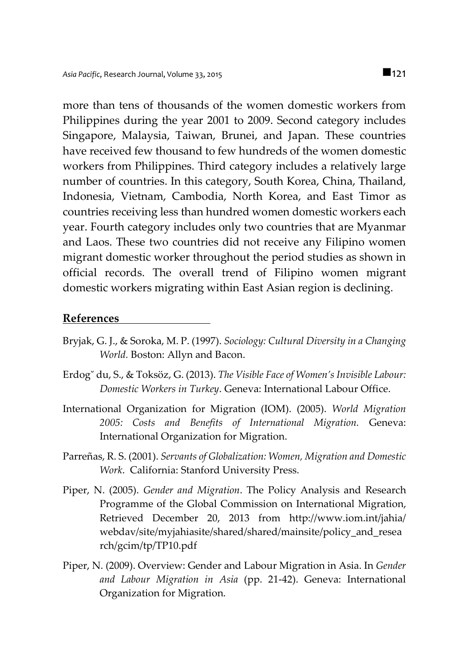more than tens of thousands of the women domestic workers from Philippines during the year 2001 to 2009. Second category includes Singapore, Malaysia, Taiwan, Brunei, and Japan. These countries have received few thousand to few hundreds of the women domestic workers from Philippines. Third category includes a relatively large number of countries. In this category, South Korea, China, Thailand, Indonesia, Vietnam, Cambodia, North Korea, and East Timor as countries receiving less than hundred women domestic workers each year. Fourth category includes only two countries that are Myanmar and Laos. These two countries did not receive any Filipino women migrant domestic worker throughout the period studies as shown in official records. The overall trend of Filipino women migrant domestic workers migrating within East Asian region is declining.

#### **References**

- Bryjak, G. J., & Soroka, M. P. (1997). *Sociology: Cultural Diversity in a Changing World.* Boston: Allyn and Bacon.
- Erdog˘ du, S., & Toksöz, G. (2013). *The Visible Face of Women's Invisible Labour: Domestic Workers in Turkey*. Geneva: International Labour Office.
- International Organization for Migration (IOM). (2005). *World Migration 2005: Costs and Benefits of International Migration.* Geneva: International Organization for Migration.
- Parreñas, R. S. (2001). *Servants of Globalization: Women, Migration and Domestic Work*. California: Stanford University Press.
- Piper, N. (2005). *Gender and Migration*. The Policy Analysis and Research Programme of the Global Commission on International Migration, Retrieved December 20, 2013 from http://www.iom.int/jahia/ webdav/site/myjahiasite/shared/shared/mainsite/policy\_and\_resea rch/gcim/tp/TP10.pdf
- Piper, N. (2009). Overview: Gender and Labour Migration in Asia. In *Gender and Labour Migration in Asia* (pp. 21-42). Geneva: International Organization for Migration.